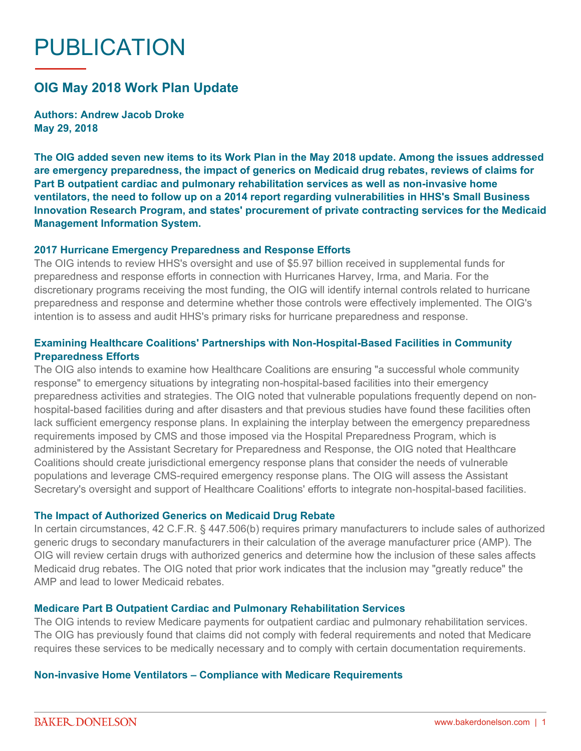# PUBLICATION

# **OIG May 2018 Work Plan Update**

**Authors: Andrew Jacob Droke May 29, 2018**

**The OIG added seven new items to its Work Plan in the May 2018 update. Among the issues addressed are emergency preparedness, the impact of generics on Medicaid drug rebates, reviews of claims for Part B outpatient cardiac and pulmonary rehabilitation services as well as non-invasive home ventilators, the need to follow up on a 2014 report regarding vulnerabilities in HHS's Small Business Innovation Research Program, and states' procurement of private contracting services for the Medicaid Management Information System.**

#### **2017 Hurricane Emergency Preparedness and Response Efforts**

The OIG intends to review HHS's oversight and use of \$5.97 billion received in supplemental funds for preparedness and response efforts in connection with Hurricanes Harvey, Irma, and Maria. For the discretionary programs receiving the most funding, the OIG will identify internal controls related to hurricane preparedness and response and determine whether those controls were effectively implemented. The OIG's intention is to assess and audit HHS's primary risks for hurricane preparedness and response.

# **Examining Healthcare Coalitions' Partnerships with Non-Hospital-Based Facilities in Community Preparedness Efforts**

The OIG also intends to examine how Healthcare Coalitions are ensuring "a successful whole community response" to emergency situations by integrating non-hospital-based facilities into their emergency preparedness activities and strategies. The OIG noted that vulnerable populations frequently depend on nonhospital-based facilities during and after disasters and that previous studies have found these facilities often lack sufficient emergency response plans. In explaining the interplay between the emergency preparedness requirements imposed by CMS and those imposed via the Hospital Preparedness Program, which is administered by the Assistant Secretary for Preparedness and Response, the OIG noted that Healthcare Coalitions should create jurisdictional emergency response plans that consider the needs of vulnerable populations and leverage CMS-required emergency response plans. The OIG will assess the Assistant Secretary's oversight and support of Healthcare Coalitions' efforts to integrate non-hospital-based facilities.

#### **The Impact of Authorized Generics on Medicaid Drug Rebate**

In certain circumstances, 42 C.F.R. § 447.506(b) requires primary manufacturers to include sales of authorized generic drugs to secondary manufacturers in their calculation of the average manufacturer price (AMP). The OIG will review certain drugs with authorized generics and determine how the inclusion of these sales affects Medicaid drug rebates. The OIG noted that prior work indicates that the inclusion may "greatly reduce" the AMP and lead to lower Medicaid rebates.

# **Medicare Part B Outpatient Cardiac and Pulmonary Rehabilitation Services**

The OIG intends to review Medicare payments for outpatient cardiac and pulmonary rehabilitation services. The OIG has previously found that claims did not comply with federal requirements and noted that Medicare requires these services to be medically necessary and to comply with certain documentation requirements.

#### **Non-invasive Home Ventilators – Compliance with Medicare Requirements**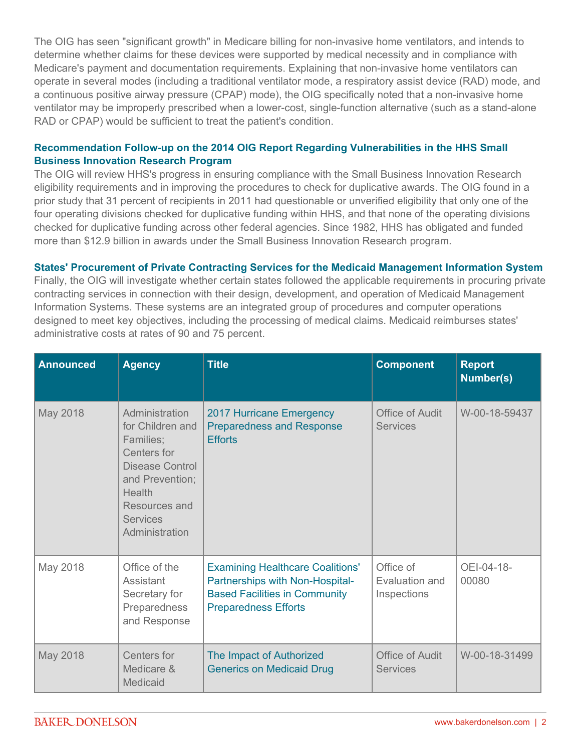The OIG has seen "significant growth" in Medicare billing for non-invasive home ventilators, and intends to determine whether claims for these devices were supported by medical necessity and in compliance with Medicare's payment and documentation requirements. Explaining that non-invasive home ventilators can operate in several modes (including a traditional ventilator mode, a respiratory assist device (RAD) mode, and a continuous positive airway pressure (CPAP) mode), the OIG specifically noted that a non-invasive home ventilator may be improperly prescribed when a lower-cost, single-function alternative (such as a stand-alone RAD or CPAP) would be sufficient to treat the patient's condition.

# **Recommendation Follow-up on the 2014 OIG Report Regarding Vulnerabilities in the HHS Small Business Innovation Research Program**

The OIG will review HHS's progress in ensuring compliance with the Small Business Innovation Research eligibility requirements and in improving the procedures to check for duplicative awards. The OIG found in a prior study that 31 percent of recipients in 2011 had questionable or unverified eligibility that only one of the four operating divisions checked for duplicative funding within HHS, and that none of the operating divisions checked for duplicative funding across other federal agencies. Since 1982, HHS has obligated and funded more than \$12.9 billion in awards under the Small Business Innovation Research program.

# **States' Procurement of Private Contracting Services for the Medicaid Management Information System**

Finally, the OIG will investigate whether certain states followed the applicable requirements in procuring private contracting services in connection with their design, development, and operation of Medicaid Management Information Systems. These systems are an integrated group of procedures and computer operations designed to meet key objectives, including the processing of medical claims. Medicaid reimburses states' administrative costs at rates of 90 and 75 percent.

| <b>Announced</b> | <b>Agency</b>                                                                                                                                                        | <b>Title</b>                                                                                                                                      | <b>Component</b>                           | <b>Report</b><br><b>Number(s)</b> |
|------------------|----------------------------------------------------------------------------------------------------------------------------------------------------------------------|---------------------------------------------------------------------------------------------------------------------------------------------------|--------------------------------------------|-----------------------------------|
| May 2018         | Administration<br>for Children and<br>Families;<br>Centers for<br>Disease Control<br>and Prevention;<br>Health<br>Resources and<br><b>Services</b><br>Administration | <b>2017 Hurricane Emergency</b><br><b>Preparedness and Response</b><br><b>Efforts</b>                                                             | <b>Office of Audit</b><br><b>Services</b>  | W-00-18-59437                     |
| May 2018         | Office of the<br>Assistant<br>Secretary for<br>Preparedness<br>and Response                                                                                          | <b>Examining Healthcare Coalitions'</b><br>Partnerships with Non-Hospital-<br><b>Based Facilities in Community</b><br><b>Preparedness Efforts</b> | Office of<br>Evaluation and<br>Inspections | OEI-04-18-<br>00080               |
| May 2018         | Centers for<br>Medicare &<br>Medicaid                                                                                                                                | The Impact of Authorized<br><b>Generics on Medicaid Drug</b>                                                                                      | <b>Office of Audit</b><br><b>Services</b>  | W-00-18-31499                     |